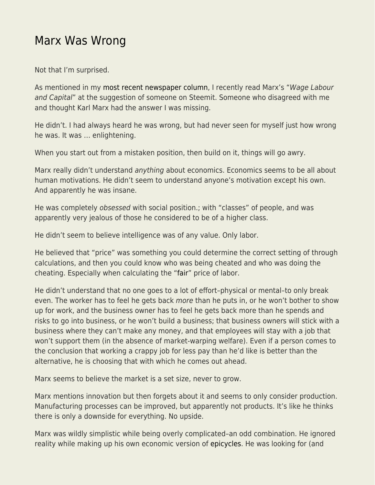## [Marx Was Wrong](https://everything-voluntary.com/marx-was-wrong)

Not that I'm surprised.

As mentioned in my [most recent newspaper column](http://blog.kentforliberty.com/2017/05/exploring-different-views-worthwhile.html), I recently read Marx's "Wage Labour and Capital" at the suggestion of someone on Steemit. Someone who disagreed with me and thought Karl Marx had the answer I was missing.

He didn't. I had always heard he was wrong, but had never seen for myself just how wrong he was. It was … enlightening.

When you start out from a mistaken position, then build on it, things will go awry.

Marx really didn't understand anything about economics. Economics seems to be all about human motivations. He didn't seem to understand anyone's motivation except his own. And apparently he was insane.

He was completely obsessed with social position.; with "classes" of people, and was apparently very jealous of those he considered to be of a higher class.

He didn't seem to believe intelligence was of any value. Only labor.

He believed that "price" was something you could determine the correct setting of through calculations, and then you could know who was being cheated and who was doing the cheating. Especially when calculating the ["fair](http://blog.kentforliberty.com/2016/08/fairness-isnt-real-thing.html)" price of labor.

He didn't understand that no one goes to a lot of effort–physical or mental–to only break even. The worker has to feel he gets back more than he puts in, or he won't bother to show up for work, and the business owner has to feel he gets back more than he spends and risks to go into business, or he won't build a business; that business owners will stick with a business where they can't make any money, and that employees will stay with a job that won't support them (in the absence of market-warping welfare). Even if a person comes to the conclusion that working a crappy job for less pay than he'd like is better than the alternative, he is choosing that with which he comes out ahead.

Marx seems to believe the market is a set size, never to grow.

Marx mentions innovation but then forgets about it and seems to only consider production. Manufacturing processes can be improved, but apparently not products. It's like he thinks there is only a downside for everything. No upside.

Marx was wildly simplistic while being overly complicated–an odd combination. He ignored reality while making up his own economic version of [epicycles.](http://www.polaris.iastate.edu/EveningStar/Unit2/unit2_sub1.htm) He was looking for (and